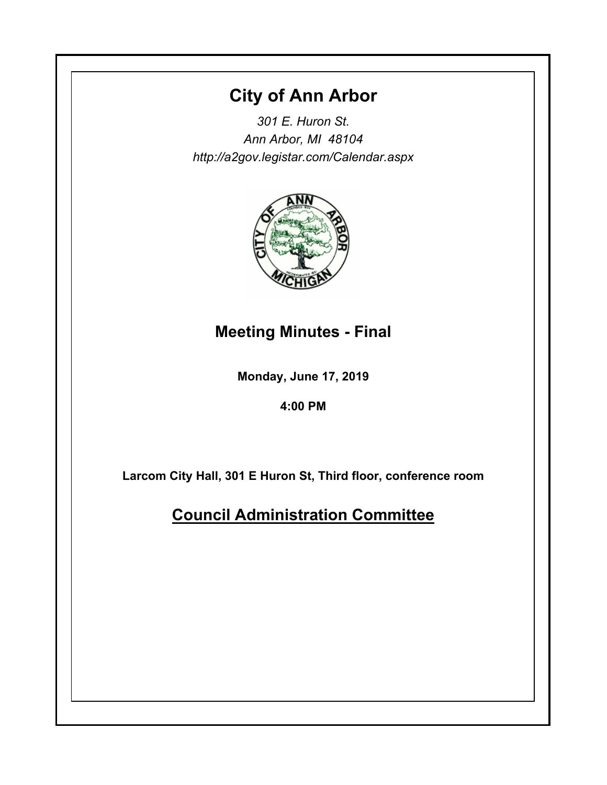# **City of Ann Arbor**

*301 E. Huron St. Ann Arbor, MI 48104 http://a2gov.legistar.com/Calendar.aspx*



# **Meeting Minutes - Final**

**Monday, June 17, 2019**

**4:00 PM**

**Larcom City Hall, 301 E Huron St, Third floor, conference room**

**Council Administration Committee**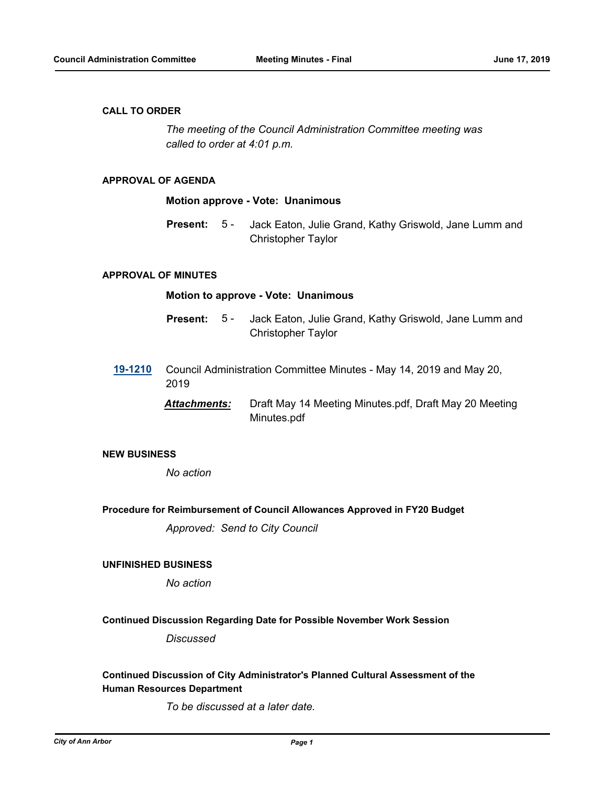### **CALL TO ORDER**

*The meeting of the Council Administration Committee meeting was called to order at 4:01 p.m.*

## **APPROVAL OF AGENDA**

#### **Motion approve - Vote: Unanimous**

Jack Eaton, Julie Grand, Kathy Griswold, Jane Lumm and Christopher Taylor **Present:** 5 -

#### **APPROVAL OF MINUTES**

#### **Motion to approve - Vote: Unanimous**

- Jack Eaton, Julie Grand, Kathy Griswold, Jane Lumm and Christopher Taylor **Present:** 5 -
- **[19-1210](http://a2gov.legistar.com/gateway.aspx?M=L&ID=22858)** Council Administration Committee Minutes May 14, 2019 and May 20, 2019
	- *Attachments:* Draft May 14 Meeting Minutes.pdf, Draft May 20 Meeting Minutes.pdf

# **NEW BUSINESS**

*No action*

### **Procedure for Reimbursement of Council Allowances Approved in FY20 Budget**

*Approved: Send to City Council*

## **UNFINISHED BUSINESS**

*No action*

#### **Continued Discussion Regarding Date for Possible November Work Session**

*Discussed*

# **Continued Discussion of City Administrator's Planned Cultural Assessment of the Human Resources Department**

*To be discussed at a later date.*